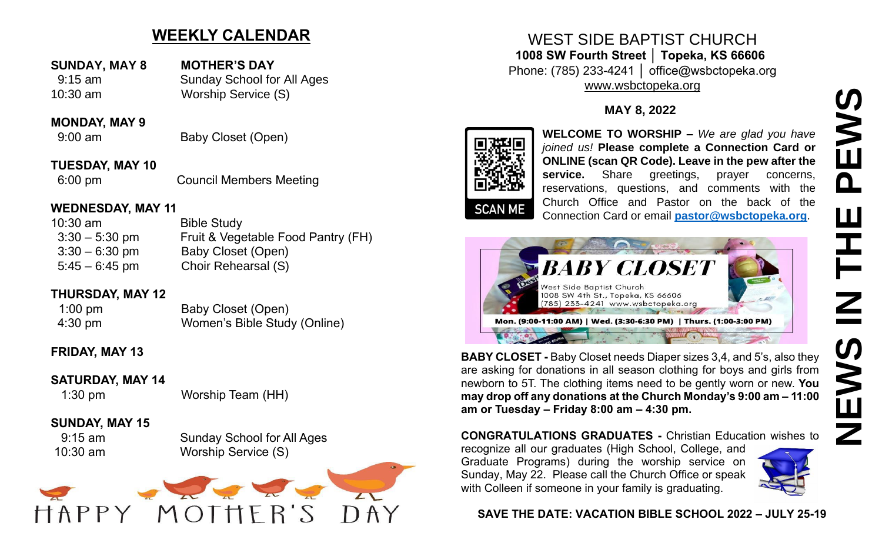# **WEEKLY CALENDAR**

10:30 am Worship Service (S)

**SUNDAY, MAY 8 MOTHER'S DAY** 9:15 am Sunday School for All Ages

#### **MONDAY, MAY 9**

9:00 am Baby Closet (Open)

**TUESDAY, MAY 10** 6:00 pm Council Members Meeting

#### **WEDNESDAY, MAY 11**

| Fruit & Vegetable Food Pantry (FH) |
|------------------------------------|
|                                    |
|                                    |
|                                    |

## **THURSDAY, MAY 12**

| $1:00 \text{ pm}$ | Baby Closet (Open)           |
|-------------------|------------------------------|
| $4:30 \text{ pm}$ | Women's Bible Study (Online) |

## **FRIDAY, MAY 13**

## **SATURDAY, MAY 14**

# 1:30 pm Worship Team (HH)

## **SUNDAY, MAY 15**

 9:15 am Sunday School for All Ages 10:30 am Worship Service (S)



WEST SIDE BAPTIST CHURCH **1008 SW Fourth Street │ Topeka, KS 66606** Phone: (785) 233-4241 │ office@wsbctopeka.org [www.wsbctopeka.org](http://www.wsbctopeka.org/)

### **MAY 8, 2022**



**WELCOME TO WORSHIP –** *We are glad you have joined us!* **Please complete a Connection Card or ONLINE (scan QR Code). Leave in the pew after the**  service. Share greetings, prayer concerns, reservations, questions, and comments with the Church Office and Pastor on the back of the Connection Card or email **[pastor@wsbctopeka.org](mailto:pastor@wsbctopeka.org)**.



**BABY CLOSET -** Baby Closet needs Diaper sizes 3,4, and 5's, also they are asking for donations in all season clothing for boys and girls from newborn to 5T. The clothing items need to be gently worn or new. **You may drop off any donations at the Church Monday's 9:00 am – 11:00 am or Tuesday – Friday 8:00 am – 4:30 pm.** 

**CONGRATULATIONS GRADUATES -** Christian Education wishes to

recognize all our graduates (High School, College, and Graduate Programs) during the worship service on Sunday, May 22. Please call the Church Office or speak with Colleen if someone in your family is graduating.



#### **SAVE THE DATE: VACATION BIBLE SCHOOL 2022 – JULY 25-19**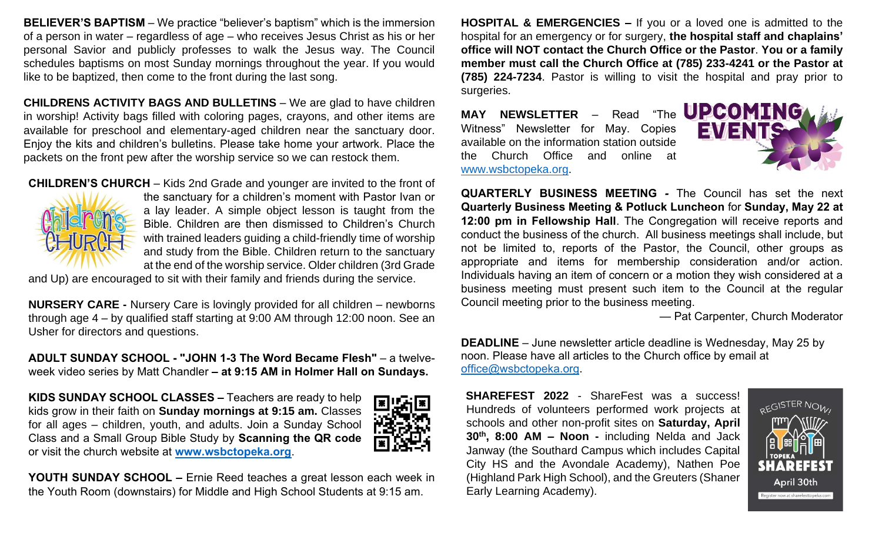**BELIEVER'S BAPTISM** – We practice "believer's baptism" which is the immersion of a person in water – regardless of age – who receives Jesus Christ as his or her personal Savior and publicly professes to walk the Jesus way. The Council schedules baptisms on most Sunday mornings throughout the year. If you would like to be baptized, then come to the front during the last song.

**CHILDRENS ACTIVITY BAGS AND BULLETINS** – We are glad to have children in worship! Activity bags filled with coloring pages, crayons, and other items are available for preschool and elementary-aged children near the sanctuary door. Enjoy the kits and children's bulletins. Please take home your artwork. Place the packets on the front pew after the worship service so we can restock them.

**CHILDREN'S CHURCH** – Kids 2nd Grade and younger are invited to the front of



the sanctuary for a children's moment with Pastor Ivan or a lay leader. A simple object lesson is taught from the Bible. Children are then dismissed to Children's Church with trained leaders guiding a child-friendly time of worship and study from the Bible. Children return to the sanctuary at the end of the worship service. Older children (3rd Grade

and Up) are encouraged to sit with their family and friends during the service.

**NURSERY CARE -** Nursery Care is lovingly provided for all children – newborns through age 4 – by qualified staff starting at 9:00 AM through 12:00 noon. See an Usher for directors and questions.

**ADULT SUNDAY SCHOOL - "JOHN 1-3 The Word Became Flesh"** – a twelveweek video series by Matt Chandler **– at 9:15 AM in Holmer Hall on Sundays.**

**KIDS SUNDAY SCHOOL CLASSES –** Teachers are ready to help kids grow in their faith on **Sunday mornings at 9:15 am.** Classes for all ages – children, youth, and adults. Join a Sunday School Class and a Small Group Bible Study by **Scanning the QR code** or visit the church website at **[www.wsbctopeka.org](http://www.wsbctopeka.org/)**.



**YOUTH SUNDAY SCHOOL –** Ernie Reed teaches a great lesson each week in the Youth Room (downstairs) for Middle and High School Students at 9:15 am.

**HOSPITAL & EMERGENCIES –** If you or a loved one is admitted to the hospital for an emergency or for surgery, **the hospital staff and chaplains' office will NOT contact the Church Office or the Pastor**. **You or a family member must call the Church Office at (785) 233-4241 or the Pastor at (785) 224-7234**. Pastor is willing to visit the hospital and pray prior to surgeries.

MAY NEWSLETTER - Read "The **UPCOMING** Witness" Newsletter for May. Copies available on the information station outside the Church Office and online at [www.wsbctopeka.org.](http://www.wsbctopeka.org/)



**QUARTERLY BUSINESS MEETING** *-* The Council has set the next **Quarterly Business Meeting & Potluck Luncheon** for **Sunday, May 22 at 12:00 pm in Fellowship Hall**. The Congregation will receive reports and conduct the business of the church. All business meetings shall include, but not be limited to, reports of the Pastor, the Council, other groups as appropriate and items for membership consideration and/or action. Individuals having an item of concern or a motion they wish considered at a business meeting must present such item to the Council at the regular Council meeting prior to the business meeting.

— Pat Carpenter, Church Moderator

**DEADLINE** – June newsletter article deadline is Wednesday, May 25 by noon. Please have all articles to the Church office by email at [office@wsbctopeka.org.](mailto:offce@wsbctopeka.org)

**SHAREFEST 2022** - ShareFest was a success! Hundreds of volunteers performed work projects at schools and other non-profit sites on **Saturday, April 30th, 8:00 AM – Noon -** including Nelda and Jack Janway (the Southard Campus which includes Capital City HS and the Avondale Academy), Nathen Poe (Highland Park High School), and the Greuters (Shaner Early Learning Academy).